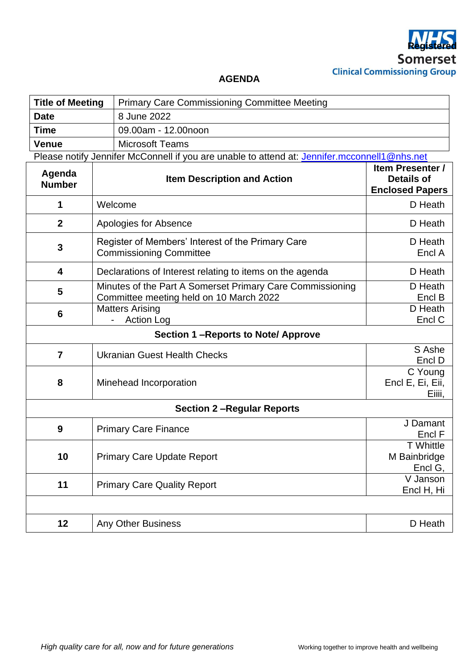

## **AGENDA**

| <b>Title of Meeting</b>                                                                      |                                                              | <b>Primary Care Commissioning Committee Meeting</b>                                                                       |                                                                        |  |
|----------------------------------------------------------------------------------------------|--------------------------------------------------------------|---------------------------------------------------------------------------------------------------------------------------|------------------------------------------------------------------------|--|
| <b>Date</b>                                                                                  |                                                              | 8 June 2022                                                                                                               |                                                                        |  |
| <b>Time</b>                                                                                  |                                                              | 09.00am - 12.00noon                                                                                                       |                                                                        |  |
| <b>Venue</b>                                                                                 |                                                              | <b>Microsoft Teams</b>                                                                                                    |                                                                        |  |
| Please notify Jennifer McConnell if you are unable to attend at: Jennifer.mcconnell1@nhs.net |                                                              |                                                                                                                           |                                                                        |  |
| Agenda<br><b>Number</b>                                                                      | <b>Item Description and Action</b>                           |                                                                                                                           | <b>Item Presenter /</b><br><b>Details of</b><br><b>Enclosed Papers</b> |  |
| 1                                                                                            |                                                              | Welcome<br>D Heath                                                                                                        |                                                                        |  |
| $\overline{2}$                                                                               |                                                              | Apologies for Absence<br>D Heath                                                                                          |                                                                        |  |
| 3                                                                                            |                                                              | Register of Members' Interest of the Primary Care<br>D Heath<br><b>Commissioning Committee</b><br>Encl A                  |                                                                        |  |
| 4                                                                                            |                                                              | D Heath<br>Declarations of Interest relating to items on the agenda                                                       |                                                                        |  |
| 5                                                                                            |                                                              | Minutes of the Part A Somerset Primary Care Commissioning<br>D Heath<br>Committee meeting held on 10 March 2022<br>Encl B |                                                                        |  |
| 6                                                                                            |                                                              | Matters Arising<br>D Heath<br>Encl C<br><b>Action Log</b>                                                                 |                                                                        |  |
| Section 1-Reports to Note/ Approve                                                           |                                                              |                                                                                                                           |                                                                        |  |
| $\overline{7}$                                                                               | S Ashe<br><b>Ukranian Guest Health Checks</b><br>Encl D      |                                                                                                                           |                                                                        |  |
| 8                                                                                            |                                                              | C Young<br>Encl E, Ei, Eii,<br>Minehead Incorporation<br>Eiiii,                                                           |                                                                        |  |
| <b>Section 2-Regular Reports</b>                                                             |                                                              |                                                                                                                           |                                                                        |  |
| 9                                                                                            | <b>Primary Care Finance</b>                                  |                                                                                                                           | J Damant<br>Encl F                                                     |  |
| 10                                                                                           | <b>Primary Care Update Report</b>                            |                                                                                                                           | <b>T</b> Whittle<br>M Bainbridge<br>Encl G,                            |  |
| 11                                                                                           | V Janson<br><b>Primary Care Quality Report</b><br>Encl H, Hi |                                                                                                                           |                                                                        |  |
|                                                                                              |                                                              |                                                                                                                           |                                                                        |  |
| 12                                                                                           |                                                              | <b>Any Other Business</b>                                                                                                 | D Heath                                                                |  |